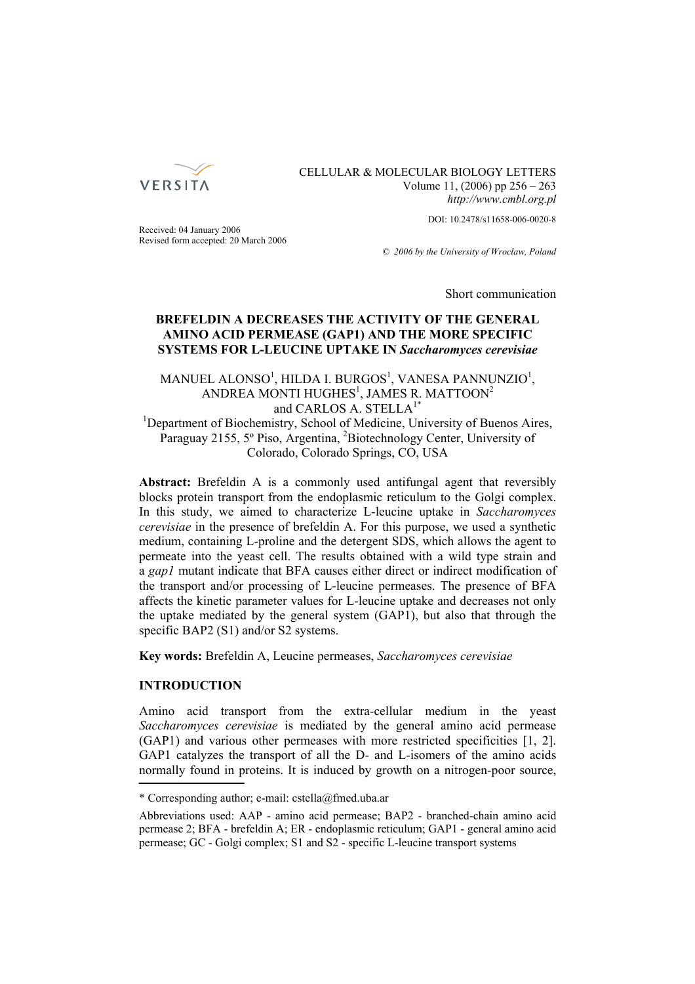

# CELLULAR & MOLECULAR BIOLOGY LETTERS Volume 11, (2006) pp 256 – 263 *http://www.cmbl.org.pl*

DOI: 10.2478/s11658-006-0020-8

Received: 04 January 2006 Revised form accepted: 20 March 2006

*© 2006 by the University of Wrocław, Poland*

Short communication

# **BREFELDIN A DECREASES THE ACTIVITY OF THE GENERAL AMINO ACID PERMEASE (GAP1) AND THE MORE SPECIFIC SYSTEMS FOR L-LEUCINE UPTAKE IN** *Saccharomyces cerevisiae*

# MANUEL ALONSO $^1$ , HILDA I. BURGOS $^1$ , VANESA PANNUNZIO $^1$ , ANDREA MONTI HUGHES<sup>1</sup>, JAMES R. MATTOON<sup>2</sup> and CARLOS A. STELLA<sup>1</sup>

<sup>1</sup>Department of Biochemistry, School of Medicine, University of Buenos Aires, Paraguay 2155, 5° Piso, Argentina, <sup>2</sup>Biotechnology Center, University of Colorado, Colorado Springs, CO, USA

**Abstract:** Brefeldin A is a commonly used antifungal agent that reversibly blocks protein transport from the endoplasmic reticulum to the Golgi complex. In this study, we aimed to characterize L-leucine uptake in *Saccharomyces cerevisiae* in the presence of brefeldin A. For this purpose, we used a synthetic medium, containing L-proline and the detergent SDS, which allows the agent to permeate into the yeast cell. The results obtained with a wild type strain and a *gap1* mutant indicate that BFA causes either direct or indirect modification of the transport and/or processing of L-leucine permeases. The presence of BFA affects the kinetic parameter values for L-leucine uptake and decreases not only the uptake mediated by the general system (GAP1), but also that through the specific BAP2 (S1) and/or S2 systems.

**Key words:** Brefeldin A, Leucine permeases, *Saccharomyces cerevisiae*

# **INTRODUCTION**

Amino acid transport from the extra-cellular medium in the yeast *Saccharomyces cerevisiae* is mediated by the general amino acid permease (GAP1) and various other permeases with more restricted specificities [1, 2]. GAP1 catalyzes the transport of all the D- and L-isomers of the amino acids normally found in proteins. It is induced by growth on a nitrogen-poor source,

<sup>\*</sup> Corresponding author; e-mail: cstella@fmed.uba.ar

Abbreviations used: AAP - amino acid permease; BAP2 - branched-chain amino acid permease 2; BFA - brefeldin A; ER - endoplasmic reticulum; GAP1 - general amino acid permease; GC - Golgi complex; S1 and S2 - specific L-leucine transport systems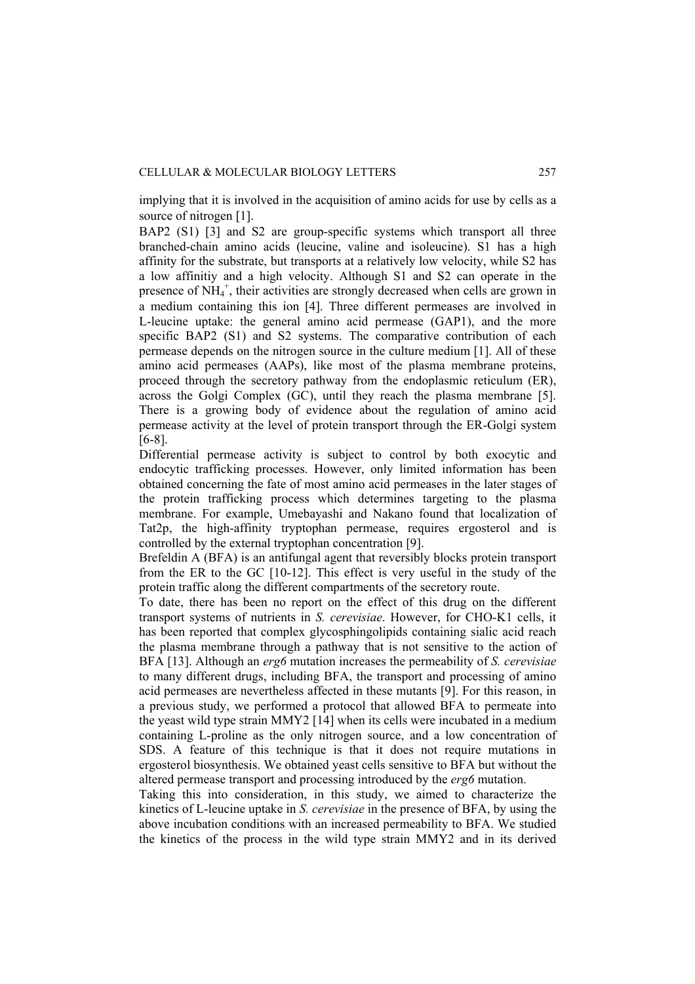implying that it is involved in the acquisition of amino acids for use by cells as a source of nitrogen [1].

BAP2 (S1) [3] and S2 are group-specific systems which transport all three branched-chain amino acids (leucine, valine and isoleucine). S1 has a high affinity for the substrate, but transports at a relatively low velocity, while S2 has a low affinitiy and a high velocity. Although S1 and S2 can operate in the presence of  $NH_4^+$ , their activities are strongly decreased when cells are grown in a medium containing this ion [4]. Three different permeases are involved in L-leucine uptake: the general amino acid permease (GAP1), and the more specific BAP2 (S1) and S2 systems. The comparative contribution of each permease depends on the nitrogen source in the culture medium [1]. All of these amino acid permeases (AAPs), like most of the plasma membrane proteins, proceed through the secretory pathway from the endoplasmic reticulum (ER), across the Golgi Complex (GC), until they reach the plasma membrane [5]. There is a growing body of evidence about the regulation of amino acid permease activity at the level of protein transport through the ER-Golgi system [6-8].

Differential permease activity is subject to control by both exocytic and endocytic trafficking processes. However, only limited information has been obtained concerning the fate of most amino acid permeases in the later stages of the protein trafficking process which determines targeting to the plasma membrane. For example, Umebayashi and Nakano found that localization of Tat2p, the high-affinity tryptophan permease, requires ergosterol and is controlled by the external tryptophan concentration [9].

Brefeldin A (BFA) is an antifungal agent that reversibly blocks protein transport from the ER to the GC [10-12]. This effect is very useful in the study of the protein traffic along the different compartments of the secretory route.

To date, there has been no report on the effect of this drug on the different transport systems of nutrients in *S. cerevisiae*. However, for CHO-K1 cells, it has been reported that complex glycosphingolipids containing sialic acid reach the plasma membrane through a pathway that is not sensitive to the action of BFA [13]. Although an *erg6* mutation increases the permeability of *S. cerevisiae* to many different drugs, including BFA, the transport and processing of amino acid permeases are nevertheless affected in these mutants [9]. For this reason, in a previous study, we performed a protocol that allowed BFA to permeate into the yeast wild type strain MMY2 [14] when its cells were incubated in a medium containing L-proline as the only nitrogen source, and a low concentration of SDS. A feature of this technique is that it does not require mutations in ergosterol biosynthesis. We obtained yeast cells sensitive to BFA but without the altered permease transport and processing introduced by the *erg6* mutation.

Taking this into consideration, in this study, we aimed to characterize the kinetics of L-leucine uptake in *S. cerevisiae* in the presence of BFA, by using the above incubation conditions with an increased permeability to BFA. We studied the kinetics of the process in the wild type strain MMY2 and in its derived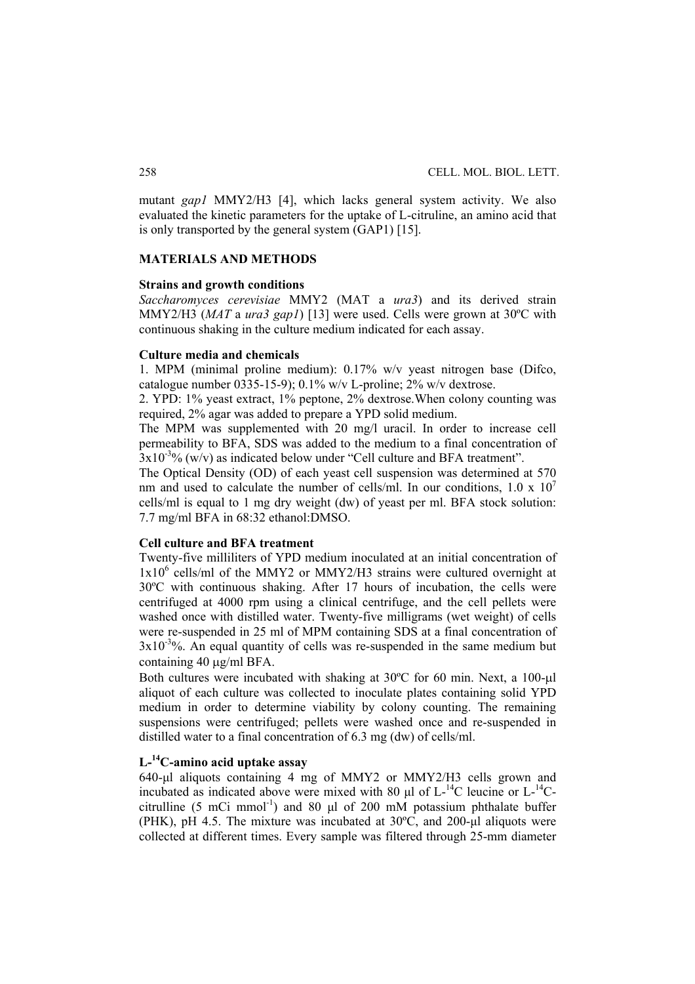mutant *gap1* MMY2/H3 [4], which lacks general system activity. We also evaluated the kinetic parameters for the uptake of L-citruline, an amino acid that is only transported by the general system (GAP1) [15].

## **MATERIALS AND METHODS**

### **Strains and growth conditions**

*Saccharomyces cerevisiae* MMY2 (MAT a *ura3*) and its derived strain MMY2/H3 (*MAT* a *ura3 gap1*) [13] were used. Cells were grown at 30ºC with continuous shaking in the culture medium indicated for each assay.

# **Culture media and chemicals**

1. MPM (minimal proline medium): 0.17% w/v yeast nitrogen base (Difco, catalogue number  $(0.335 - 15 - 9)$ ;  $(0.1\% \text{ w/v L-proline}; 2\% \text{ w/v dex}$ 

2. YPD: 1% yeast extract, 1% peptone, 2% dextrose.When colony counting was required, 2% agar was added to prepare a YPD solid medium.

The MPM was supplemented with 20 mg/l uracil. In order to increase cell permeability to BFA, SDS was added to the medium to a final concentration of  $3x10^{-3}$ % (w/v) as indicated below under "Cell culture and BFA treatment".

The Optical Density (OD) of each yeast cell suspension was determined at 570 nm and used to calculate the number of cells/ml. In our conditions,  $1.0 \times 10^7$ cells/ml is equal to 1 mg dry weight (dw) of yeast per ml. BFA stock solution: 7.7 mg/ml BFA in 68:32 ethanol:DMSO.

# **Cell culture and BFA treatment**

Twenty-five milliliters of YPD medium inoculated at an initial concentration of 1x10<sup>6</sup> cells/ml of the MMY2 or MMY2/H3 strains were cultured overnight at 30ºC with continuous shaking. After 17 hours of incubation, the cells were centrifuged at 4000 rpm using a clinical centrifuge, and the cell pellets were washed once with distilled water. Twenty-five milligrams (wet weight) of cells were re-suspended in 25 ml of MPM containing SDS at a final concentration of  $3x10^{-3}$ %. An equal quantity of cells was re-suspended in the same medium but containing 40 μg/ml BFA.

Both cultures were incubated with shaking at 30ºC for 60 min. Next, a 100-μl aliquot of each culture was collected to inoculate plates containing solid YPD medium in order to determine viability by colony counting. The remaining suspensions were centrifuged; pellets were washed once and re-suspended in distilled water to a final concentration of 6.3 mg (dw) of cells/ml.

# **L-14C-amino acid uptake assay**

640-μl aliquots containing 4 mg of MMY2 or MMY2/H3 cells grown and incubated as indicated above were mixed with 80  $\mu$ l of L-<sup>14</sup>C leucine or L-<sup>14</sup>Ccitrulline (5 mCi mmol<sup>-1</sup>) and 80  $\mu$ l of 200 mM potassium phthalate buffer (PHK), pH 4.5. The mixture was incubated at 30ºC, and 200-μl aliquots were collected at different times. Every sample was filtered through 25-mm diameter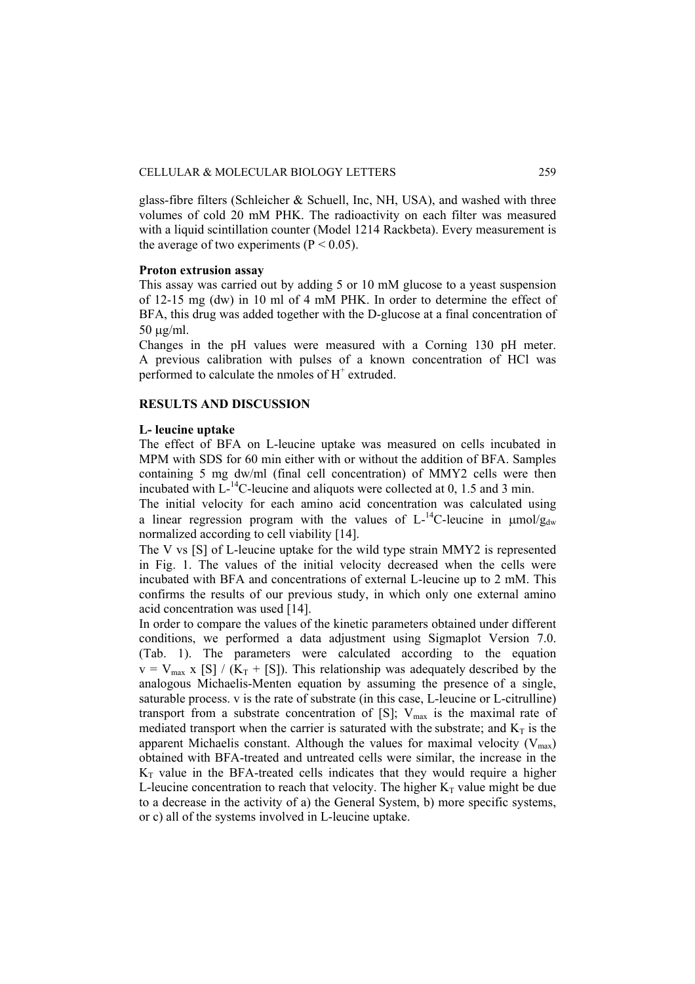glass-fibre filters (Schleicher  $&$  Schuell, Inc, NH, USA), and washed with three volumes of cold 20 mM PHK. The radioactivity on each filter was measured with a liquid scintillation counter (Model 1214 Rackbeta). Every measurement is the average of two experiments ( $P < 0.05$ ).

## **Proton extrusion assay**

This assay was carried out by adding 5 or 10 mM glucose to a yeast suspension of 12-15 mg (dw) in 10 ml of 4 mM PHK. In order to determine the effect of BFA, this drug was added together with the D-glucose at a final concentration of 50 μg/ml.

Changes in the pH values were measured with a Corning 130 pH meter. A previous calibration with pulses of a known concentration of HCl was performed to calculate the nmoles of  $H^+$  extruded.

## **RESULTS AND DISCUSSION**

## **L- leucine uptake**

The effect of BFA on L-leucine uptake was measured on cells incubated in MPM with SDS for 60 min either with or without the addition of BFA. Samples containing 5 mg dw/ml (final cell concentration) of MMY2 cells were then incubated with  $L^{-14}$ C-leucine and aliquots were collected at 0, 1.5 and 3 min.

The initial velocity for each amino acid concentration was calculated using a linear regression program with the values of  $L^{-1}C$ -leucine in  $\mu$ mol/g<sub>dw</sub> normalized according to cell viability [14].

The V vs [S] of L-leucine uptake for the wild type strain MMY2 is represented in Fig. 1. The values of the initial velocity decreased when the cells were incubated with BFA and concentrations of external L-leucine up to 2 mM. This confirms the results of our previous study, in which only one external amino acid concentration was used [14].

In order to compare the values of the kinetic parameters obtained under different conditions, we performed a data adjustment using Sigmaplot Version 7.0. (Tab. 1). The parameters were calculated according to the equation  $v = V_{\text{max}} x$  [S] / (K<sub>T</sub> + [S]). This relationship was adequately described by the analogous Michaelis-Menten equation by assuming the presence of a single, saturable process. v is the rate of substrate (in this case, L-leucine or L-citrulline) transport from a substrate concentration of [S];  $V_{\text{max}}$  is the maximal rate of mediated transport when the carrier is saturated with the substrate; and  $K_T$  is the apparent Michaelis constant. Although the values for maximal velocity  $(V_{max})$ obtained with BFA-treated and untreated cells were similar, the increase in the  $K<sub>T</sub>$  value in the BFA-treated cells indicates that they would require a higher L-leucine concentration to reach that velocity. The higher  $K<sub>T</sub>$  value might be due to a decrease in the activity of a) the General System, b) more specific systems, or c) all of the systems involved in L-leucine uptake.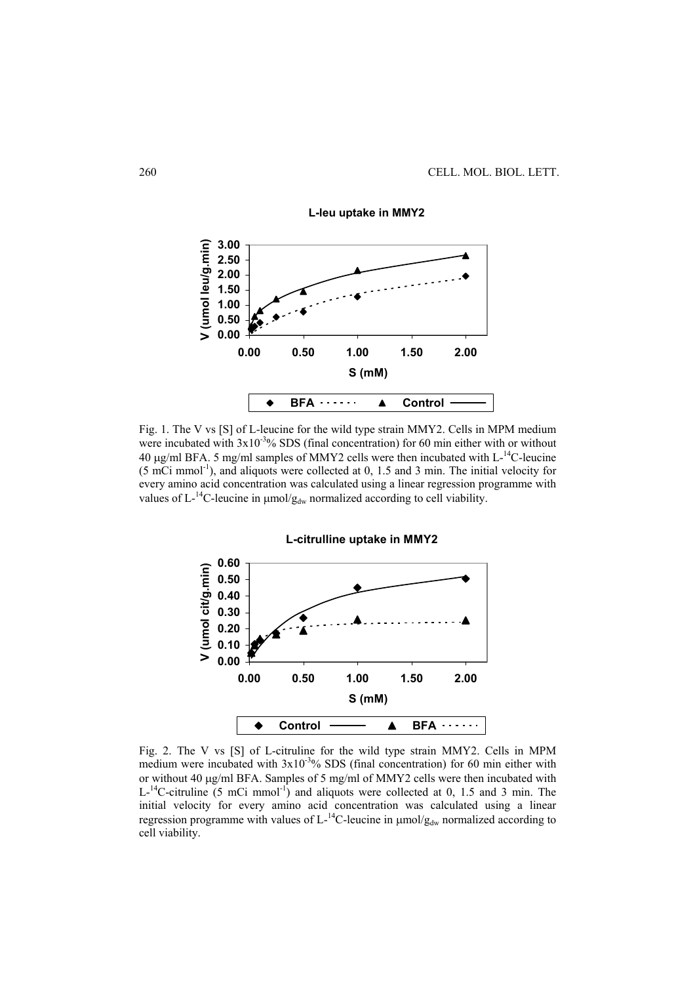

**L-leu uptake in MMY2**

Fig. 1. The V vs [S] of L-leucine for the wild type strain MMY2. Cells in MPM medium were incubated with  $3x10^{-3}\%$  SDS (final concentration) for 60 min either with or without 40 μg/ml BFA. 5 mg/ml samples of MMY2 cells were then incubated with L-14C-leucine (5 mCi mmol-1), and aliquots were collected at 0, 1.5 and 3 min. The initial velocity for every amino acid concentration was calculated using a linear regression programme with values of  $L^{-14}C$ -leucine in  $\mu$ mol/g<sub>dw</sub> normalized according to cell viability.



Fig. 2. The V vs [S] of L-citruline for the wild type strain MMY2. Cells in MPM medium were incubated with  $3x10^{-3}$ % SDS (final concentration) for 60 min either with or without 40 μg/ml BFA. Samples of 5 mg/ml of MMY2 cells were then incubated with  $L^{-14}$ C-citruline (5 mCi mmol<sup>-1</sup>) and aliquots were collected at 0, 1.5 and 3 min. The initial velocity for every amino acid concentration was calculated using a linear regression programme with values of  $L^{-14}C$ -leucine in  $\mu$ mol/ $g_{dw}$  normalized according to cell viability.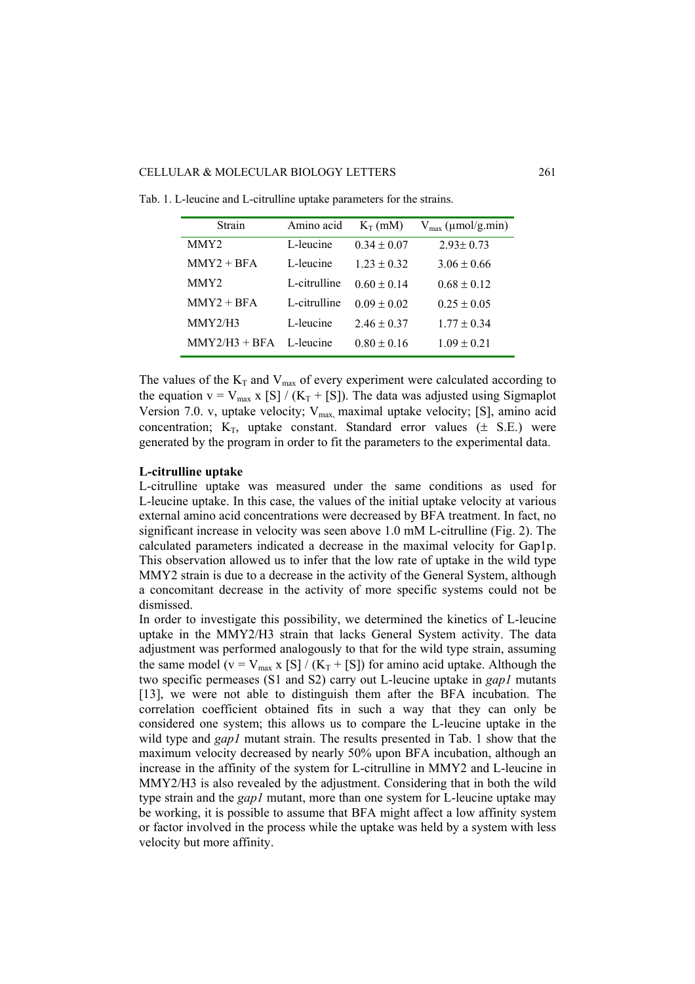### CELLULAR & MOLECULAR BIOLOGY LETTERS 261

| Strain           | Amino acid   | $K_T$ (mM)      | $V_{\text{max}}$ (µmol/g.min) |
|------------------|--------------|-----------------|-------------------------------|
| MMY <sub>2</sub> | L-leucine    | $0.34 + 0.07$   | $2.93 \pm 0.73$               |
| $MMY2 + BFA$     | L-leucine    | $123 + 032$     | $3.06 \pm 0.66$               |
| MMY <sub>2</sub> | L-citrulline | $0.60 + 0.14$   | $0.68 \pm 0.12$               |
| $MMY2 + BFA$     | L-citrulline | $0.09 + 0.02$   | $0.25 \pm 0.05$               |
| MMY2/H3          | L-leucine    | $2.46 \pm 0.37$ | $1.77 \pm 0.34$               |
| $MMY2/H3 + BFA$  | L-leucine    | $0.80 \pm 0.16$ | $1.09 \pm 0.21$               |

Tab. 1. L-leucine and L-citrulline uptake parameters for the strains.

The values of the  $K_T$  and  $V_{max}$  of every experiment were calculated according to the equation  $v = V_{max} x$  [S] / (K<sub>T</sub> + [S]). The data was adjusted using Sigmaplot Version 7.0. v, uptake velocity;  $V_{max}$  maximal uptake velocity; [S], amino acid concentration;  $K_T$ , uptake constant. Standard error values ( $\pm$  S.E.) were generated by the program in order to fit the parameters to the experimental data.

## **L-citrulline uptake**

L-citrulline uptake was measured under the same conditions as used for L-leucine uptake. In this case, the values of the initial uptake velocity at various external amino acid concentrations were decreased by BFA treatment. In fact, no significant increase in velocity was seen above 1.0 mM L-citrulline (Fig. 2). The calculated parameters indicated a decrease in the maximal velocity for Gap1p. This observation allowed us to infer that the low rate of uptake in the wild type MMY2 strain is due to a decrease in the activity of the General System, although a concomitant decrease in the activity of more specific systems could not be dismissed.

In order to investigate this possibility, we determined the kinetics of L-leucine uptake in the MMY2/H3 strain that lacks General System activity. The data adjustment was performed analogously to that for the wild type strain, assuming the same model ( $v = V_{max}$  x [S] / ( $K_T$  + [S]) for amino acid uptake. Although the two specific permeases (S1 and S2) carry out L-leucine uptake in *gap1* mutants [13], we were not able to distinguish them after the BFA incubation. The correlation coefficient obtained fits in such a way that they can only be considered one system; this allows us to compare the L-leucine uptake in the wild type and *gap1* mutant strain. The results presented in Tab. 1 show that the maximum velocity decreased by nearly 50% upon BFA incubation, although an increase in the affinity of the system for L-citrulline in MMY2 and L-leucine in MMY2/H3 is also revealed by the adjustment. Considering that in both the wild type strain and the *gap1* mutant, more than one system for L-leucine uptake may be working, it is possible to assume that BFA might affect a low affinity system or factor involved in the process while the uptake was held by a system with less velocity but more affinity.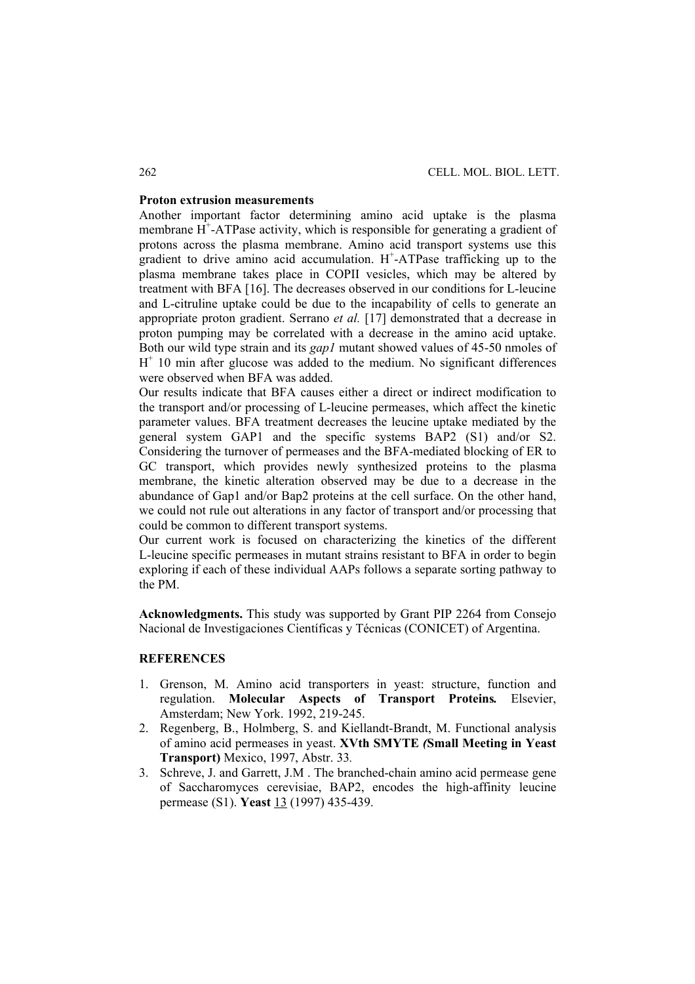## **Proton extrusion measurements**

Another important factor determining amino acid uptake is the plasma membrane  $H^+$ -ATPase activity, which is responsible for generating a gradient of protons across the plasma membrane. Amino acid transport systems use this gradient to drive amino acid accumulation. H<sup>+</sup>-ATPase trafficking up to the plasma membrane takes place in COPII vesicles, which may be altered by treatment with BFA [16]. The decreases observed in our conditions for L-leucine and L-citruline uptake could be due to the incapability of cells to generate an appropriate proton gradient. Serrano *et al.* [17] demonstrated that a decrease in proton pumping may be correlated with a decrease in the amino acid uptake. Both our wild type strain and its *gap1* mutant showed values of 45-50 nmoles of  $H<sup>+</sup>$  10 min after glucose was added to the medium. No significant differences were observed when BFA was added.

Our results indicate that BFA causes either a direct or indirect modification to the transport and/or processing of L-leucine permeases, which affect the kinetic parameter values. BFA treatment decreases the leucine uptake mediated by the general system GAP1 and the specific systems BAP2 (S1) and/or S2. Considering the turnover of permeases and the BFA-mediated blocking of ER to GC transport, which provides newly synthesized proteins to the plasma membrane, the kinetic alteration observed may be due to a decrease in the abundance of Gap1 and/or Bap2 proteins at the cell surface. On the other hand, we could not rule out alterations in any factor of transport and/or processing that could be common to different transport systems.

Our current work is focused on characterizing the kinetics of the different L-leucine specific permeases in mutant strains resistant to BFA in order to begin exploring if each of these individual AAPs follows a separate sorting pathway to the PM.

**Acknowledgments.** This study was supported by Grant PIP 2264 from Consejo Nacional de Investigaciones Científicas y Técnicas (CONICET) of Argentina.

## **REFERENCES**

- 1. Grenson, M. Amino acid transporters in yeast: structure, function and regulation. **Molecular Aspects of Transport Proteins***.* Elsevier, Amsterdam; New York. 1992, 219-245.
- 2. Regenberg, B., Holmberg, S. and Kiellandt-Brandt, M. Functional analysis of amino acid permeases in yeast. **XVth SMYTE** *(***Small Meeting in Yeast Transport)** Mexico, 1997, Abstr. 33*.*
- 3. Schreve, J. and Garrett, J.M . The branched-chain amino acid permease gene of Saccharomyces cerevisiae, BAP2, encodes the high-affinity leucine permease (S1). **Yeast** 13 (1997) 435-439.